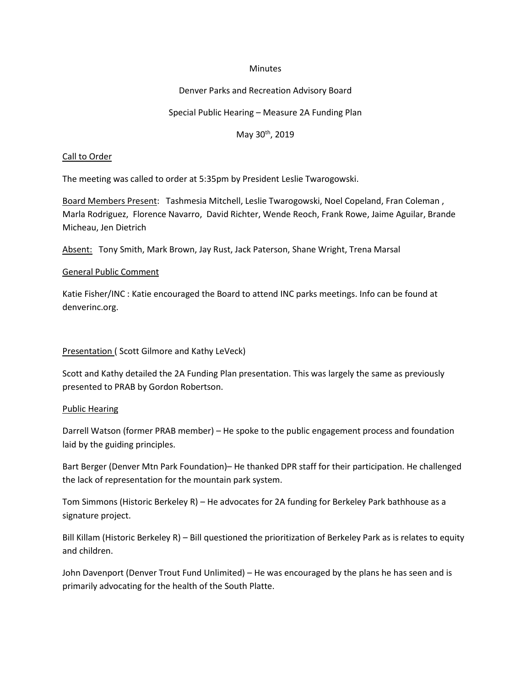#### **Minutes**

## Denver Parks and Recreation Advisory Board

# Special Public Hearing – Measure 2A Funding Plan

# May 30th, 2019

## Call to Order

The meeting was called to order at 5:35pm by President Leslie Twarogowski.

Board Members Present: Tashmesia Mitchell, Leslie Twarogowski, Noel Copeland, Fran Coleman , Marla Rodriguez, Florence Navarro, David Richter, Wende Reoch, Frank Rowe, Jaime Aguilar, Brande Micheau, Jen Dietrich

Absent: Tony Smith, Mark Brown, Jay Rust, Jack Paterson, Shane Wright, Trena Marsal

#### General Public Comment

Katie Fisher/INC : Katie encouraged the Board to attend INC parks meetings. Info can be found at denverinc.org.

# Presentation ( Scott Gilmore and Kathy LeVeck)

Scott and Kathy detailed the 2A Funding Plan presentation. This was largely the same as previously presented to PRAB by Gordon Robertson.

#### Public Hearing

Darrell Watson (former PRAB member) – He spoke to the public engagement process and foundation laid by the guiding principles.

Bart Berger (Denver Mtn Park Foundation)– He thanked DPR staff for their participation. He challenged the lack of representation for the mountain park system.

Tom Simmons (Historic Berkeley R) – He advocates for 2A funding for Berkeley Park bathhouse as a signature project.

Bill Killam (Historic Berkeley R) – Bill questioned the prioritization of Berkeley Park as is relates to equity and children.

John Davenport (Denver Trout Fund Unlimited) – He was encouraged by the plans he has seen and is primarily advocating for the health of the South Platte.